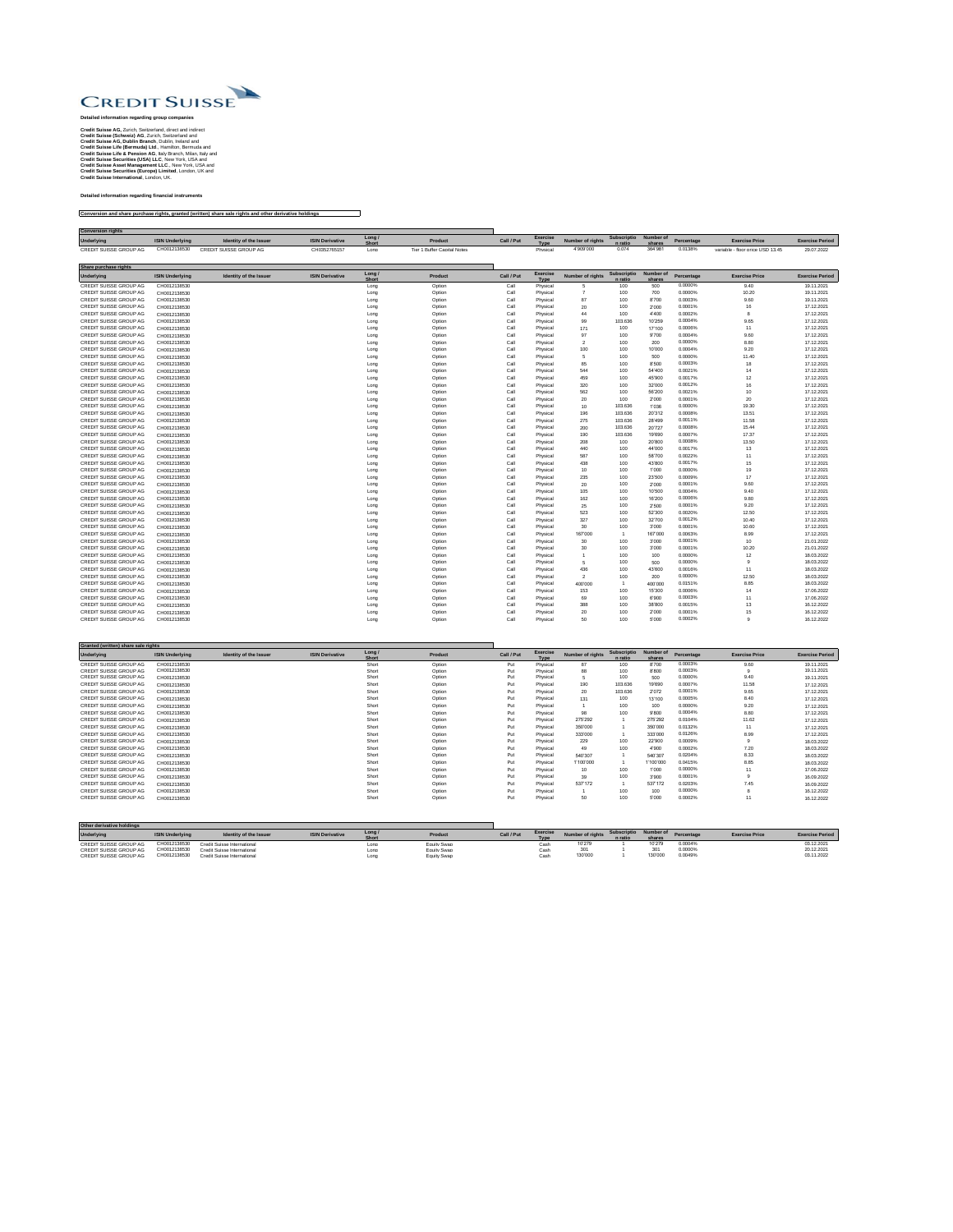

Credit Suisse AG, Zurich, Switzerland, direct and indirect<br>Credit Suisse (Schweiz) AG, Zurich, Switzerland and<br>Credit Suisse AG, Dublin Branch, Dublin, Neintal and<br>Credit Suisse Life (Bermuda) Ltd., Hamilton, Bermuda and<br>C

**Detailed information regarding financial instruments**

**Conversion and share purchase rights, granted (written) share sale rights and other derivative holdings**

| <b>Conversion rights</b>                         |                              |                               |                        |                |                             |                 |                         |                  |                |                    |                    |                                  |                          |
|--------------------------------------------------|------------------------------|-------------------------------|------------------------|----------------|-----------------------------|-----------------|-------------------------|------------------|----------------|--------------------|--------------------|----------------------------------|--------------------------|
| Underlying                                       | <b>ISIN Underlying</b>       | Identity of the Issuer        | <b>ISIN Derivative</b> | Long <i>l</i>  | Product                     | Call / Put      | Exercise                | Number of rights | Subscriptio    | Number of          | Percentage         | <b>Exercise Price</b>            | <b>Exercise Period</b>   |
| <b>CREDIT SUISSE GROUP AG</b>                    | CH0012138530                 | CREDIT SUISSE GROUP AG        | CH0352765157           | Long           | Tier 1 Buffer Capital Notes |                 | Type<br>Physical        | 4'909'000        | 0.074          | shares<br>364'981  | 0.0138%            | variable - floor price USD 13.45 | 29.07.2022               |
|                                                  |                              |                               |                        |                |                             |                 |                         |                  |                |                    |                    |                                  |                          |
| Share purchase rights                            |                              |                               |                        |                |                             |                 |                         |                  |                |                    |                    |                                  |                          |
| <b>Underlying</b>                                | <b>ISIN Underlying</b>       | <b>Identity of the Issuer</b> | <b>ISIN Derivative</b> | Long /         | Product                     | Call / Put      | Exercise                | Number of rights | Subscriptio    | Number of          | Percentage         | <b>Exercise Price</b>            | <b>Exercise Period</b>   |
| CREDIT SUISSE GROUP AG                           | CH0012138530                 |                               |                        | Short<br>Long  | Option                      | Call            | Type<br>Physical        | 5                | n ratio<br>100 | shares<br>500      | 0.0000%            | 9.40                             | 19.11.2021               |
| CREDIT SUISSE GROUP AG                           | CH0012138530                 |                               |                        | Long           | Option                      | Call            | Physical                |                  | 100            | 700                | 0.0000%            | 10.20                            | 19.11.2021               |
| CREDIT SUISSE GROUP AG                           | CH0012138530                 |                               |                        | Long           | Option                      | Call            | Physical                | 87               | 100            | 8700               | 0.0003%            | 9.60                             | 19.11.2021               |
| CREDIT SUISSE GROUP AG                           | CH0012138530                 |                               |                        | Long           | Ontion                      | Call            | Physical                | 20               | 100            | 2'000              | 0.0001%            | 16                               | 17 12 2021               |
| CREDIT SUISSE GROUP AG                           | CH0012138530                 |                               |                        | Long           | Option                      | Call            | Physical                | 44               | 100            | 4'400              | 0.0002%            | 8                                | 17.12.2021               |
| CREDIT SUISSE GROUP AG                           | CH0012138530                 |                               |                        | Long           | Option                      | Call            | Physical                | 99               | 103.636        | 10'259             | 0.0004%            | 9.65                             | 17.12.2021               |
| CREDIT SUISSE GROUP AG                           | CH0012138530                 |                               |                        | Long           | Option                      | Call            | Physical                | 171              | 100            | 17'100             | 0.0006%            | 11                               | 17.12.2021               |
| CREDIT SUISSE GROUP AG                           | CH0012138530                 |                               |                        | Long           | Option                      | Call            | Physica                 | 97               | 100            | 9'700              | 0.0004%            | 9.60                             | 17.12.2021               |
| CREDIT SUISSE GROUP AG                           | CH0012138530                 |                               |                        | Long           | Option                      | Call            | Physical                | $\overline{2}$   | 100            | 200                | 0.0000%            | 8.80                             | 17.12.2021               |
| CREDIT SUISSE GROUP AG                           | CH0012138530                 |                               |                        | Long           | Ontion                      | Call            | Physical                | 100              | 100            | 10'000             | 0.0004%            | 9.20                             | 17 12 2021               |
| CREDIT SUISSE GROUP AG<br>CREDIT SUISSE GROUP AG | CH0012138530                 |                               |                        | Long           | Option<br>Option            | Call<br>Call    | Physical<br>Physical    | 5<br>85          | 100<br>100     | 500<br>8'500       | 0.0000%<br>0.0003% | 11.40<br>18                      | 17.12.2021<br>17.12.2021 |
| CREDIT SUISSE GROUP AG                           | CH0012138530<br>CH0012138530 |                               |                        | Long<br>Long   | Option                      | Call            | Physical                | 544              | 100            | 54'400             | 0.0021%            | 14                               | 17.12.2021               |
| CREDIT SUISSE GROUP AG                           | CH0012138530                 |                               |                        | Long           | Option                      | Call            | Physica                 | 459              | 100            | 45'900             | 0.0017%            | 12                               | 17.12.2021               |
| CREDIT SUISSE GROUP AG                           | CH0012138530                 |                               |                        | Long           | Option                      | Call            | Physical                | 320              | 100            | 32'000             | 0.0012%            | 16                               | 17.12.2021               |
| CREDIT SUISSE GROUP AG                           | CH0012138530                 |                               |                        | Long           | Option                      | Call            | Physical                | 562              | 100            | 56'200             | 0.0021%            | 10                               | 17.12.2021               |
| CREDIT SUISSE GROUP AG                           | CH0012138530                 |                               |                        | Long           | Option                      | Call            | Physical                | 20               | 100            | 2000               | 0.0001%            | $20\,$                           | 17.12.202                |
| CREDIT SUISSE GROUP AG                           | CH0012138530                 |                               |                        | Long           | Ontion                      | Call            | Physical                | 10               | 103.636        | 1'036              | 0.0000%            | 19.30                            | 17 12 2021               |
| CREDIT SUISSE GROUP AG                           | CH0012138530                 |                               |                        | Long           | Option                      | Call            | Physical                | 196              | 103.636        | 20'312             | 0.0008%            | 13.51                            | 17.12.2021               |
| CREDIT SUISSE GROUP AG                           | CH0012138530                 |                               |                        | Long           | Option                      | Call            | Physical                | 275              | 103.636        | 28'499             | 0.0011%            | 11.58                            | 17.12.2021               |
| CREDIT SUISSE GROUP AG                           | CH0012138530                 |                               |                        | Long           | Option                      | Call            | Physical                | 200              | 103.636        | 20'727             | 0.0008%            | 15.44                            | 17.12.2021               |
| CREDIT SUISSE GROUP AG                           | CH0012138530                 |                               |                        | Long           | Option                      | Call            | Physical                | 190              | 103.636        | 19'690             | 0.0007%            | 17.37                            | 17.12.2021               |
| CREDIT SUISSE GROUP AG                           | CH0012138530                 |                               |                        | Long           | Option                      | Call            | Physical                | 208              | 100            | 20'800             | 0.0008%            | 13.50                            | 17.12.2021               |
| CREDIT SUISSE GROUP AG                           | CH0012138530                 |                               |                        | Long           | Ontion                      | Call            | Physical                | 440              | 100            | 44'000             | 0.0017%            | 13                               | 17.12.2021               |
| CREDIT SUISSE GROUP AG                           | CH0012138530                 |                               |                        | Long           | Option                      | Call            | Physical                | 587              | 100            | 58'700             | 0.0022%            | 11                               | 17.12.2021               |
| CREDIT SUISSE GROUP AG                           | CH0012138530                 |                               |                        | Long           | Option                      | Call            | Physical                | 438              | 100            | 43'800             | 0.0017%            | 15                               | 17.12.2021               |
| CREDIT SUISSE GROUP AG                           | CH0012138530                 |                               |                        | Long           | Option                      | Call            | Physical                | 10               | 100            | 1'000              | 0.0000%            | 19                               | 17.12.2021               |
| CREDIT SUISSE GROUP AG                           | CH0012138530                 |                               |                        | Long           | Option                      | Call            | Physical                | 235              | 100            | 23'500             | 0.0009%            | 17                               | 17.12.2021               |
| CREDIT SUISSE GROUP AG                           | CH0012138530                 |                               |                        | Long           | Option                      | Call            | Physical                | 20               | 100            | 2'000              | 0.0001%            | 9.60                             | 17.12.2021               |
| CREDIT SUISSE GROUP AG                           | CH0012138530                 |                               |                        | Long           | Option                      | Call            | Physical                | 105              | 100            | 10'500             | 0.0004%<br>0.0006% | 9.40                             | 17.12.2021               |
| CREDIT SUISSE GROUP AG<br>CREDIT SUISSE GROUP AG | CH0012138530                 |                               |                        | Long           | Option                      | Call<br>Call    | Physical                | 162<br>25        | 100<br>100     | 16'200<br>2500     | 0.0001%            | 9.80<br>9.20                     | 17.12.2021<br>17.12.2021 |
| CREDIT SUISSE GROUP AG                           | CH0012138530<br>CH0012138530 |                               |                        | Long<br>Long   | Option<br>Ontion            | Call            | Physical<br>Physical    | 523              | 100            | 52'300             | 0.0020%            | 12.50                            | 17 12 2021               |
| CREDIT SUISSE GROUP AG                           | CH0012138530                 |                               |                        | Long           | Option                      | Call            | Physical                | 327              | 100            | 32'700             | 0.0012%            | 10.40                            | 17.12.2021               |
| CREDIT SUISSE GROUP AG                           | CH0012138530                 |                               |                        | Long           | Option                      | Call            | Physical                | 30               | 100            | 3'000              | 0.0001%            | 10.60                            | 17.12.2021               |
| CREDIT SUISSE GROUP AG                           | CH0012138530                 |                               |                        | Long           | Option                      | Call            | Physical                | 167'000          | $\overline{1}$ | 167'000            | 0.0063%            | 8.99                             | 17.12.2021               |
| CREDIT SUISSE GROUP AG                           | CH0012138530                 |                               |                        | Long           | Option                      | Call            | Physical                | 30               | 100            | 3'000              | 0.0001%            | 10                               | 21.01.2022               |
| CREDIT SUISSE GROUP AG                           | CH0012138530                 |                               |                        | Long           | Option                      | Call            | Physical                | 30               | 100            | 3'000              | 0.0001%            | 10.20                            | 21.01.2022               |
| CREDIT SUISSE GROUP AG                           | CH0012138530                 |                               |                        | Long           | Ontion                      | Call            | Physical                |                  | 100            | 100                | 0.0000%            | 12                               | 18.03.2022               |
| CREDIT SUISSE GROUP AG                           | CH0012138530                 |                               |                        | Long           | Option                      | Call            | Physical                | 5                | 100            | 500                | 0.0000%            | $\overline{9}$                   | 18.03.2022               |
| CREDIT SUISSE GROUP AG                           | CH0012138530                 |                               |                        | Long           | Option                      | Call            | Physical                | 436              | 100            | 43'600             | 0.0016%            | 11                               | 18.03.2022               |
| CREDIT SUISSE GROUP AG                           | CH0012138530                 |                               |                        | Long           | Option                      | Call            | Physical                | $\overline{2}$   | 100            | 200                | 0.0000%            | 12.50                            | 18.03.2022               |
| CREDIT SUISSE GROUP AG                           | CH0012138530                 |                               |                        | Long           | Option                      | Call            | Physical                | 400'000          |                | 400'000            | 0.0151%            | 8.85                             | 18.03.2022               |
| CREDIT SUISSE GROUP AG                           | CH0012138530                 |                               |                        | Long           | Option                      | Call            | Physical                | 153              | 100            | 15'300             | 0.0006%            | 14                               | 17.06.2022               |
| CREDIT SUISSE GROUP AG                           | CH0012138530                 |                               |                        | Long           | Option                      | Call            | Physical                | 69               | 100            | 6'900              | 0.0003%            | 11                               | 17.06.2022               |
| CREDIT SUISSE GROUP AG                           | CH0012138530                 |                               |                        | Long           | Option                      | Call            | Physical                | 388              | 100            | 38'800             | 0.0015%            | $13\,$                           | 16.12.2022               |
| CREDIT SUISSE GROUP AG                           | CH0012138530                 |                               |                        | Long           | Option                      | Call            | Physical                | 20               | 100            | 2'000              | 0.0001%            | 15                               | 16.12.2022               |
| CREDIT SUISSE GROUP AG                           | CH0012138530                 |                               |                        | Long           | Ontion                      | Call            | Physical                | 50               | 100            | 5'000              | 0.0002%            | $\mathbf{q}$                     | 16 12 2022               |
|                                                  |                              |                               |                        |                |                             |                 |                         |                  |                |                    |                    |                                  |                          |
|                                                  |                              |                               |                        |                |                             |                 |                         |                  |                |                    |                    |                                  |                          |
| Granted (written) share sale rights              |                              |                               |                        |                |                             |                 |                         |                  |                |                    |                    |                                  |                          |
| Underlying                                       | <b>ISIN Underlying</b>       | <b>Identity of the Issuer</b> | <b>ISIN Derivative</b> | Long /         | Product                     | Call / Put      | Exercise                | Number of rights | Subscriptio    | Number of          | Percentage         | <b>Exercise Price</b>            | <b>Exercise Period</b>   |
|                                                  |                              |                               |                        | hort           |                             | Put             | Type                    | 87               | n ratio        | shares             |                    |                                  |                          |
| CREDIT SUISSE GROUP AG<br>CREDIT SUISSE GROUP AG | CH0012138530<br>CH0012138530 |                               |                        | Short<br>Short | Option<br>Option            | Put             | Physical<br>Physical    | 88               | 100<br>100     | 8'700<br>8'800     | 0.0003%<br>0.0003% | 9.60<br>$\overline{9}$           | 19.11.2021<br>19.11.2021 |
| CREDIT SUISSE GROUP AG                           | CH0012138530                 |                               |                        | Shon           | Option                      | Put             | Physical                | 5                | 100            | 500                | 0.0000%            | 9.40                             | 19.11.2021               |
| CREDIT SUISSE GROUP AG                           | CH0012138530                 |                               |                        | Short          | Ontion                      | Put             | Physical                | 190              | 103.636        | 19'690             | 0.0007%            | 11.58                            | 17 12 2021               |
| CREDIT SUISSE GROUP AG                           | CH0012138530                 |                               |                        | Short          | Option                      | Put             | Physical                | $20\,$           | 103.636        | 2072               | 0.0001%            | 9.65                             | 17.12.2021               |
| CREDIT SUISSE GROUP AG                           | CH0012138530                 |                               |                        | Short          | Option                      | Put             | Physical                | 131              | 100            | 13'100             | 0.0005%            | 8.40                             | 17.12.2021               |
| CREDIT SUISSE GROUP AG                           | CH0012138530                 |                               |                        | Short          | Option                      | Put             | Physical                | $\overline{1}$   | 100            | 100                | 0.0000%            | 9.20                             | 17.12.2021               |
| CREDIT SUISSE GROUP AG                           | CH0012138530                 |                               |                        | Short          | Option                      | Put             | Physical                | 98               | 100            | 9'800              | 0.0004%            | 8.80                             | 17.12.2021               |
| CREDIT SUISSE GROUP AG                           | CH0012138530                 |                               |                        | Shon           | Option                      | Put             | Physical                | 275'292          |                | 275'292            | 0.0104%            | 11.62                            | 17.12.2021               |
| CREDIT SUISSE GROUP AG                           | CH0012138530                 |                               |                        | Short          | Option                      | Put             | Physical                | 350'000          | $\overline{1}$ | 350'000            | 0.0132%            | 11                               | 17.12.2021               |
| CREDIT SUISSE GROUP AG                           | CH0012138530                 |                               |                        | Short          | Option                      | Put             | Physical                | 333'000          |                | 333'000            | 0.0126%            | 8.99                             | 17.12.2021               |
| CREDIT SUISSE GROUP AG                           | CH0012138530                 |                               |                        | Short          | Option                      | $_{\rm Put}$    | Physical                | 229              | 100            | 22'900             | 0.0009%            | $\overline{9}$                   | 18.03.2022               |
| CREDIT SUISSE GROUP AG                           | CH0012138530                 |                               |                        | Short          | Ontion                      | P <sub>10</sub> | Physical                | 49               | 100            | 4'900              | 0.0002%            | 720                              | 18.03.2022               |
| CREDIT SUISSE GROUP AG                           | CH0012138530                 |                               |                        | Shon           | Option                      | Put             | Physical                | 540'307          | $\overline{1}$ | 540'307            | 0.0204%            | 8.33                             | 18.03.2022               |
| CREDIT SUISSE GROUP AG                           | CH0012138530                 |                               |                        | Short          | Option                      | Put             | Physical                | 1'100'000        |                | 1'100'000          | 0.0415%            | 8.85                             | 18.03.2022               |
| CREDIT SUISSE GROUP AG                           | CH0012138530                 |                               |                        | Short          | Option                      | Put             | Physical                | 10               | 100            | 1'000              | 0.0000%<br>0.0001% | 11                               | 17.06.2022               |
| CREDIT SUISSE GROUP AG<br>CREDIT SUISSE GROUP AG | CH0012138530                 |                               |                        | Short<br>Short | Option<br>Option            | Put<br>Put      | Physical<br>Physical    | 39<br>537172     | 100<br>-1      | 3'900<br>537172    | 0.0203%            | $\overline{9}$<br>7.45           | 16.09.2022               |
| CREDIT SUISSE GROUP AG                           | CH0012138530                 |                               |                        | Short          | Ontion                      | Put             |                         |                  | 100            | 100                | 0.0000%            | $\mathbf{R}$                     | 16.09.2022               |
| CREDIT SUISSE GROUP AG                           | CH0012138530<br>CH0012138530 |                               |                        | Short          | Option                      | Put             | Physical<br>Physical    | -1.<br>50        | 100            | 5'000              | 0.0002%            | 11                               | 16.12.2022<br>16.12.2022 |
|                                                  |                              |                               |                        |                |                             |                 |                         |                  |                |                    |                    |                                  |                          |
|                                                  |                              |                               |                        |                |                             |                 |                         |                  |                |                    |                    |                                  |                          |
|                                                  |                              |                               |                        |                |                             |                 |                         |                  |                |                    |                    |                                  |                          |
| Other derivative holdings                        |                              |                               |                        |                |                             |                 |                         |                  |                |                    |                    |                                  |                          |
| Underlying                                       | <b>ISIN Underlying</b>       | Identity of the Issuer        | <b>ISIN Derivative</b> | Long /         | Product                     | Call / Put      | <b>Exercise</b><br>Tyne | Number of rights | Subscriptio    | Number of<br>share | Percentage         | <b>Exercise Price</b>            | <b>Exercise Period</b>   |
| CREDIT SUISSE GROUP AG                           | CH0012138530                 | Credit Suisse International   |                        | Long           | Foulty Swan                 |                 | Cash                    | 10'279           |                | 10'279             | 0.0004%            |                                  | 03.12.202                |
| CREDIT SUISSE GROUP AG                           | CH0012138530                 | Credit Suisse International   |                        | I ong          | Foulty Swan                 |                 | Cash                    | 301              |                | 301                | 0.0000%            |                                  | 20.12.2021               |
| CREDIT SUISSE GROUP AG                           | CH0012138530                 | Credit Suisse International   |                        | Long           | Equity Swap                 |                 | Cash                    | 130'000          |                | 130'000            | 0.0049%            |                                  | 03.11.2022               |